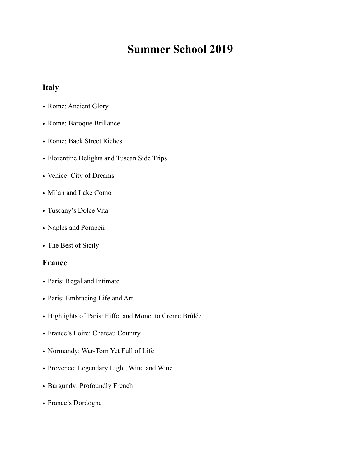# **Summer School 2019**

#### **Italy**

- Rome: Ancient Glory
- Rome: Baroque Brillance
- Rome: Back Street Riches
- Florentine Delights and Tuscan Side Trips
- Venice: City of Dreams
- Milan and Lake Como
- Tuscany's Dolce Vita
- Naples and Pompeii
- The Best of Sicily

#### **France**

- Paris: Regal and Intimate
- Paris: Embracing Life and Art
- Highlights of Paris: Eiffel and Monet to Creme Brûlée
- France's Loire: Chateau Country
- Normandy: War-Torn Yet Full of Life
- Provence: Legendary Light, Wind and Wine
- Burgundy: Profoundly French
- France's Dordogne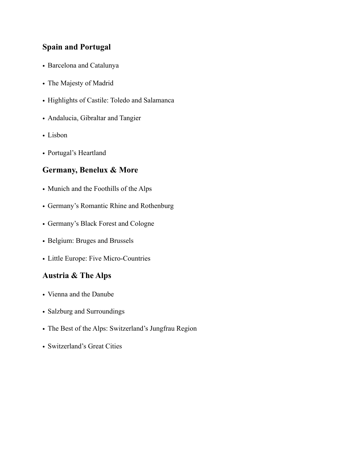## **Spain and Portugal**

- Barcelona and Catalunya
- The Majesty of Madrid
- Highlights of Castile: Toledo and Salamanca
- Andalucia, Gibraltar and Tangier
- Lisbon
- Portugal's Heartland

#### **Germany, Benelux & More**

- Munich and the Foothills of the Alps
- Germany's Romantic Rhine and Rothenburg
- Germany's Black Forest and Cologne
- Belgium: Bruges and Brussels
- Little Europe: Five Micro-Countries

#### **Austria & The Alps**

- Vienna and the Danube
- Salzburg and Surroundings
- The Best of the Alps: Switzerland's Jungfrau Region
- Switzerland's Great Cities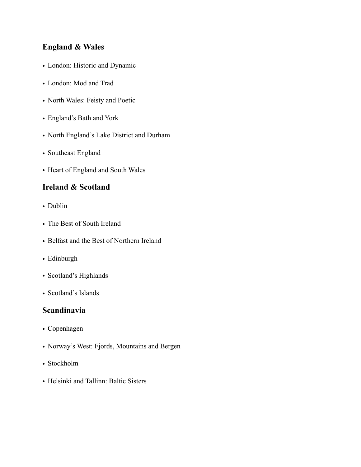## **England & Wales**

- London: Historic and Dynamic
- London: Mod and Trad
- North Wales: Feisty and Poetic
- England's Bath and York
- North England's Lake District and Durham
- Southeast England
- Heart of England and South Wales

## **Ireland & Scotland**

- Dublin
- The Best of South Ireland
- Belfast and the Best of Northern Ireland
- Edinburgh
- Scotland's Highlands
- Scotland's Islands

#### **Scandinavia**

- Copenhagen
- Norway's West: Fjords, Mountains and Bergen
- Stockholm
- Helsinki and Tallinn: Baltic Sisters